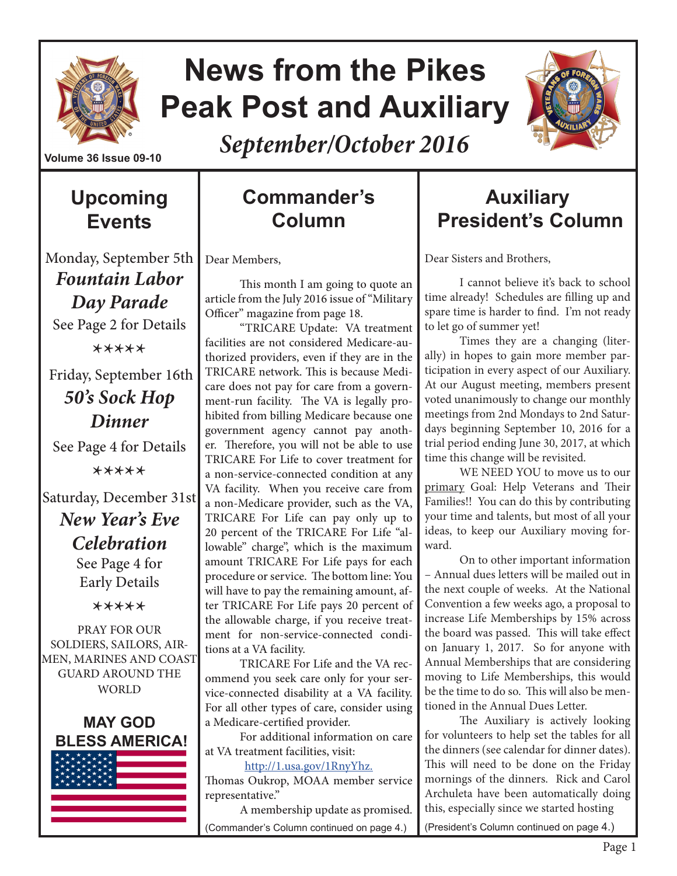

# **News from the Pikes Peak Post and Auxiliary**



*September/October 2016*

## **Upcoming Events**

Monday, September 5th

*Fountain Labor Day Parade* See Page 2 for Details

\*\*\*\*\*

 Friday, September 16th *50's Sock Hop Dinner* See Page 4 for Details

\*\*\*\*\*

Saturday, December 31st

*New Year's Eve Celebration*

See Page 4 for Early Details

\*\*\*\*\*

PRAY FOR OUR SOLDIERS, SAILORS, AIR-MEN, MARINES AND COAST GUARD AROUND THE WORLD



## **Commander's Column**

Dear Members,

This month I am going to quote an article from the July 2016 issue of "Military Officer" magazine from page 18.

"TRICARE Update: VA treatment facilities are not considered Medicare-authorized providers, even if they are in the TRICARE network. This is because Medicare does not pay for care from a government-run facility. The VA is legally prohibited from billing Medicare because one government agency cannot pay another. Therefore, you will not be able to use TRICARE For Life to cover treatment for a non-service-connected condition at any VA facility. When you receive care from a non-Medicare provider, such as the VA, TRICARE For Life can pay only up to 20 percent of the TRICARE For Life "allowable" charge", which is the maximum amount TRICARE For Life pays for each procedure or service. The bottom line: You will have to pay the remaining amount, after TRICARE For Life pays 20 percent of the allowable charge, if you receive treatment for non-service-connected conditions at a VA facility.

TRICARE For Life and the VA recommend you seek care only for your service-connected disability at a VA facility. For all other types of care, consider using a Medicare-certified provider.

For additional information on care at VA treatment facilities, visit:

http://1.usa.gov/1RnyYhz.

Thomas Oukrop, MOAA member service representative."

A membership update as promised. (Commander's Column continued on page 4.)

## **Auxiliary President's Column**

Dear Sisters and Brothers,

I cannot believe it's back to school time already! Schedules are filling up and spare time is harder to find. I'm not ready to let go of summer yet!

Times they are a changing (literally) in hopes to gain more member participation in every aspect of our Auxiliary. At our August meeting, members present voted unanimously to change our monthly meetings from 2nd Mondays to 2nd Saturdays beginning September 10, 2016 for a trial period ending June 30, 2017, at which time this change will be revisited.

WE NEED YOU to move us to our primary Goal: Help Veterans and Their Families!! You can do this by contributing your time and talents, but most of all your ideas, to keep our Auxiliary moving forward.

On to other important information – Annual dues letters will be mailed out in the next couple of weeks. At the National Convention a few weeks ago, a proposal to increase Life Memberships by 15% across the board was passed. This will take effect on January 1, 2017. So for anyone with Annual Memberships that are considering moving to Life Memberships, this would be the time to do so. This will also be mentioned in the Annual Dues Letter.

The Auxiliary is actively looking for volunteers to help set the tables for all the dinners (see calendar for dinner dates). This will need to be done on the Friday mornings of the dinners. Rick and Carol Archuleta have been automatically doing this, especially since we started hosting (President's Column continued on page 4.)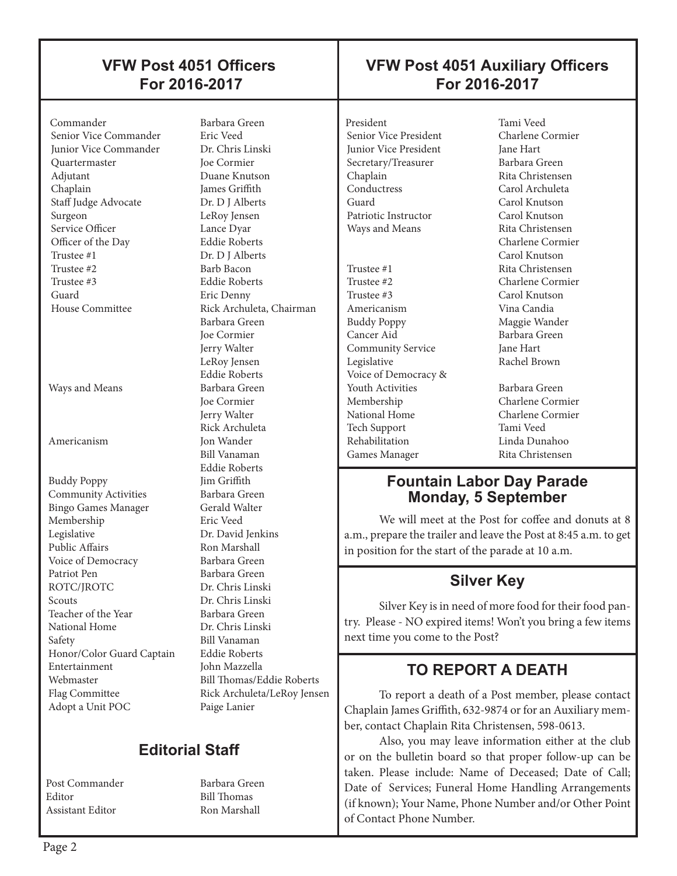#### **VFW Post 4051 Officers For 2016-2017**

#### **VFW Post 4051 Auxiliary Officers For 2016-2017**

 Commander Barbara Green Senior Vice Commander Junior Vice Commander Dr. Chris Linski Quartermaster Joe Cormier Adjutant Duane Knutson Chaplain James Griffith Staff Judge Advocate Dr. D J Alberts Surgeon LeRoy Jensen Service Officer Lance Dyar Officer of the Day Eddie Roberts<br>
Trustee #1 Dr. D I Alberts Trustee #1 Dr. D J Alberts<br>Trustee #2 Barb Bacon Trustee #3 Eddie Roberts Guard Eric Denny House Committee Rick Archuleta, Chairman

 $\overline{\phantom{a}}$ 

Ways and Means Barbara Green

Americanism Jon Wander

Buddy Poppy **Community Activities** Barbara Green<br>Bingo Games Manager Gerald Walter Bingo Games Manager Membership Eric Veed Legislative Dr. David Jenkins Public Affairs Ron Marshall Voice of Democracy Barbara Green Patriot Pen Barbara Green ROTC/IROTC Dr. Chris Linski Scouts Dr. Chris Linski Teacher of the Year Barbara Green<br>
National Home Dr. Chris Linski National Home Safety Bill Vanaman<br>Honor/Color Guard Captain Eddie Roberts Honor/Color Guard Captain Entertainment John Mazzella Webmaster Bill Thomas/Eddie Roberts Flag Committee Rick Archuleta/LeRoy Jensen Adopt a Unit POC Paige Lanier

Post Commander Barbara Green Editor Bill Thomas Assistant Editor Ron Marshall

Barb Bacon Barbara Green Joe Cormier Jerry Walter LeRoy Jensen Eddie Roberts Joe Cormier Jerry Walter Rick Archuleta Bill Vanaman Eddie Roberts

#### **Editorial Staff**

President Tami Veed<br>
Senior Vice President Charlene Cormier Senior Vice President Junior Vice President Jane Hart Secretary/Treasurer Barbara Green Chaplain Rita Christensen<br>
Carol Archuleta<br>
Carol Archuleta Guard Carol Knutson<br>Patriotic Instructor Carol Knutson Patriotic Instructor Ways and Means Rita Christensen

 $\overline{\phantom{a}}$ 

Trustee #1 Rita Christensen Trustee #2 Charlene Cormier Trustee #3 Carol Knutson Americanism Vina Candia Buddy Poppy Maggie Wander<br>Cancer Aid Barbara Green Community Service Jane Hart Legislative Rachel Brown Voice of Democracy & Youth Activities **Barbara** Green Membership Charlene Cormier National Home Charlene Cormier Tech Support Tami Veed Rehabilitation Linda Dunahoo Games Manager Rita Christensen

Carol Archuleta Charlene Cormier Carol Knutson Barbara Green

#### **Fountain Labor Day Parade Monday, 5 September**

We will meet at the Post for coffee and donuts at 8 a.m., prepare the trailer and leave the Post at 8:45 a.m. to get in position for the start of the parade at 10 a.m.

#### **Silver Key**

Silver Key is in need of more food for their food pantry. Please - NO expired items! Won't you bring a few items next time you come to the Post?

#### **TO REPORT A DEATH**

To report a death of a Post member, please contact Chaplain James Griffith, 632-9874 or for an Auxiliary member, contact Chaplain Rita Christensen, 598-0613.

Also, you may leave information either at the club or on the bulletin board so that proper follow-up can be taken. Please include: Name of Deceased; Date of Call; Date of Services; Funeral Home Handling Arrangements (if known); Your Name, Phone Number and/or Other Point of Contact Phone Number.

 $\overline{\phantom{a}}$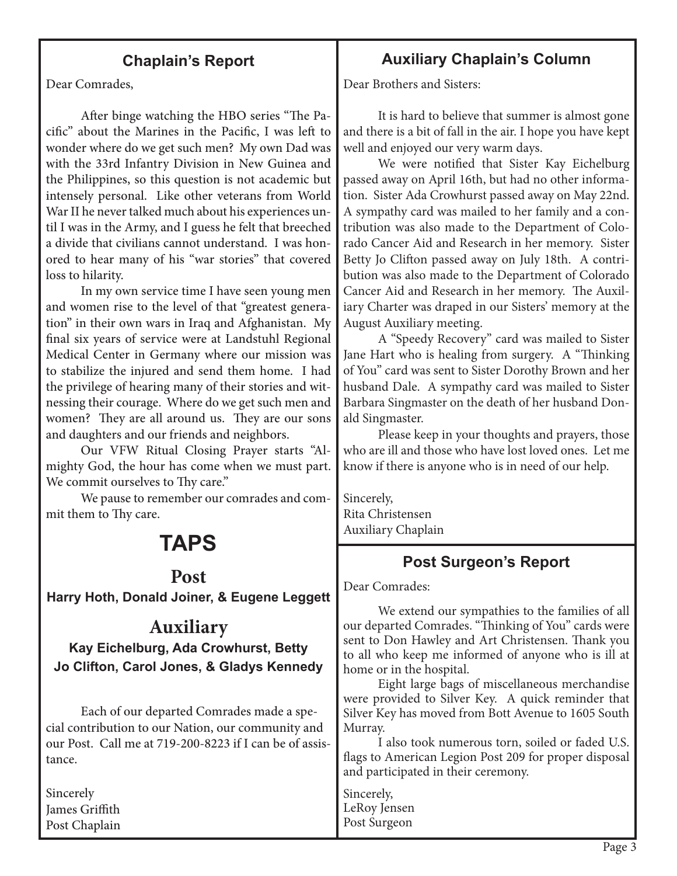#### **Chaplain's Report**

Dear Comrades,

After binge watching the HBO series "The Pacific" about the Marines in the Pacific, I was left to wonder where do we get such men? My own Dad was with the 33rd Infantry Division in New Guinea and the Philippines, so this question is not academic but intensely personal. Like other veterans from World War II he never talked much about his experiences until I was in the Army, and I guess he felt that breeched a divide that civilians cannot understand. I was honored to hear many of his "war stories" that covered loss to hilarity.

In my own service time I have seen young men and women rise to the level of that "greatest generation" in their own wars in Iraq and Afghanistan. My final six years of service were at Landstuhl Regional Medical Center in Germany where our mission was to stabilize the injured and send them home. I had the privilege of hearing many of their stories and witnessing their courage. Where do we get such men and women? They are all around us. They are our sons and daughters and our friends and neighbors.

Our VFW Ritual Closing Prayer starts "Almighty God, the hour has come when we must part. We commit ourselves to Thy care."

We pause to remember our comrades and commit them to Thy care.

## **TAPS**

#### **Post**

**Harry Hoth, Donald Joiner, & Eugene Leggett** 

#### **Auxiliary**

**Kay Eichelburg, Ada Crowhurst, Betty Jo Clifton, Carol Jones, & Gladys Kennedy**

Each of our departed Comrades made a special contribution to our Nation, our community and our Post. Call me at 719-200-8223 if I can be of assistance.

Sincerely James Griffith Post Chaplain

#### **Auxiliary Chaplain's Column**

Dear Brothers and Sisters:

It is hard to believe that summer is almost gone and there is a bit of fall in the air. I hope you have kept well and enjoyed our very warm days.

We were notified that Sister Kay Eichelburg passed away on April 16th, but had no other information. Sister Ada Crowhurst passed away on May 22nd. A sympathy card was mailed to her family and a contribution was also made to the Department of Colorado Cancer Aid and Research in her memory. Sister Betty Jo Clifton passed away on July 18th. A contribution was also made to the Department of Colorado Cancer Aid and Research in her memory. The Auxiliary Charter was draped in our Sisters' memory at the August Auxiliary meeting.

A "Speedy Recovery" card was mailed to Sister Jane Hart who is healing from surgery. A "Thinking of You" card was sent to Sister Dorothy Brown and her husband Dale. A sympathy card was mailed to Sister Barbara Singmaster on the death of her husband Donald Singmaster.

Please keep in your thoughts and prayers, those who are ill and those who have lost loved ones. Let me know if there is anyone who is in need of our help.

Sincerely, Rita Christensen Auxiliary Chaplain

#### **Post Surgeon's Report**

Dear Comrades:

We extend our sympathies to the families of all our departed Comrades. "Thinking of You" cards were sent to Don Hawley and Art Christensen. Thank you to all who keep me informed of anyone who is ill at home or in the hospital.

Eight large bags of miscellaneous merchandise were provided to Silver Key. A quick reminder that Silver Key has moved from Bott Avenue to 1605 South Murray.

I also took numerous torn, soiled or faded U.S. flags to American Legion Post 209 for proper disposal and participated in their ceremony.

Sincerely, LeRoy Jensen Post Surgeon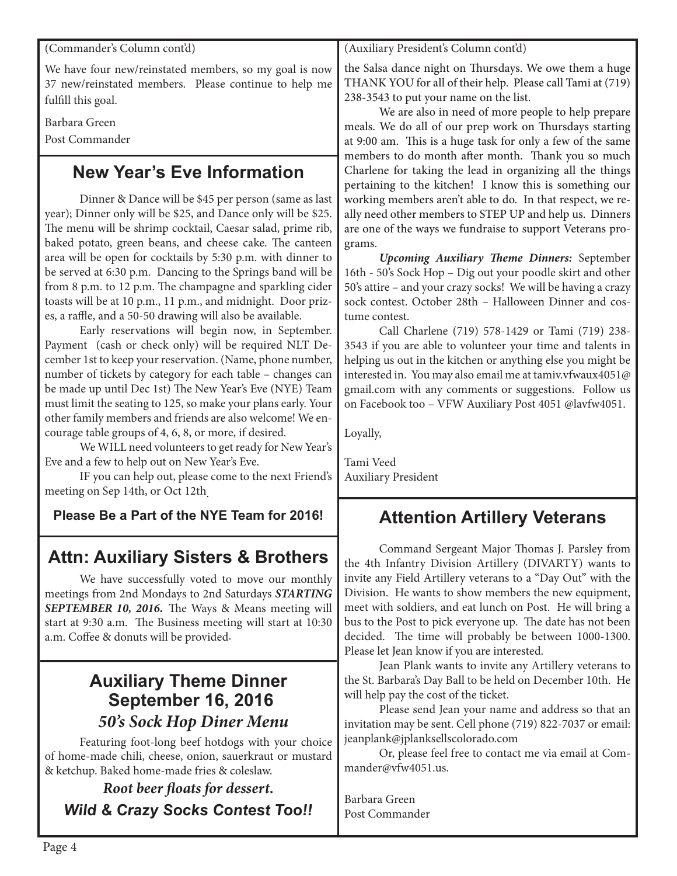(Commander's Column cont'd)

We have four new/reinstated members, so my goal is now 37 new/reinstated members. Please continue to help me fulfill this goal.

Barbara Green

Post Commander

#### **New Year's Eve Information**

Dinner & Dance will be \$45 per person (same as last year); Dinner only will be \$25, and Dance only will be \$25. The menu will be shrimp cocktail, Caesar salad, prime rib, baked potato, green beans, and cheese cake. The canteen area will be open for cocktails by 5:30 p.m. with dinner to be served at 6:30 p.m. Dancing to the Springs band will be from 8 p.m. to 12 p.m. The champagne and sparkling cider toasts will be at 10 p.m., 11 p.m., and midnight. Door prizes, a raffle, and a 50-50 drawing will also be available.

Early reservations will begin now, in September. Payment (cash or check only) will be required NLT December 1st to keep your reservation. (Name, phone number, number of tickets by category for each table – changes can be made up until Dec 1st) The New Year's Eve (NYE) Team must limit the seating to 125, so make your plans early. Your other family members and friends are also welcome! We encourage table groups of 4, 6, 8, or more, if desired.

We WILL need volunteers to get ready for New Year's Eve and a few to help out on New Year's Eve.

IF you can help out, please come to the next Friend's meeting on Sep 14th, or Oct 12th.

**Please Be a Part of the NYE Team for 2016!**

#### **Attn: Auxiliary Sisters & Brothers**

We have successfully voted to move our monthly meetings from 2nd Mondays to 2nd Saturdays *STARTING SEPTEMBER 10, 2016.* The Ways & Means meeting will start at 9:30 a.m. The Business meeting will start at 10:30 a.m. Coffee & donuts will be provided.

## **Auxiliary Theme Dinner September 16, 2016** *50's Sock Hop Diner Menu*

Featuring foot-long beef hotdogs with your choice of home-made chili, cheese, onion, sauerkraut or mustard & ketchup. Baked home-made fries & coleslaw.

#### *Root beer floats for dessert. Wild & Crazy Socks Contest Too!!*

(Auxiliary President's Column cont'd)

the Salsa dance night on Thursdays. We owe them a huge THANK YOU for all of their help. Please call Tami at (719) 238-3543 to put your name on the list.

We are also in need of more people to help prepare meals. We do all of our prep work on Thursdays starting at 9:00 am. This is a huge task for only a few of the same members to do month after month. Thank you so much Charlene for taking the lead in organizing all the things pertaining to the kitchen! I know this is something our working members aren't able to do. In that respect, we really need other members to STEP UP and help us. Dinners are one of the ways we fundraise to support Veterans programs.

*Upcoming Auxiliary Theme Dinners:* September 16th - 50's Sock Hop – Dig out your poodle skirt and other 50's attire – and your crazy socks! We will be having a crazy sock contest. October 28th – Halloween Dinner and costume contest.

Call Charlene (719) 578-1429 or Tami (719) 238- 3543 if you are able to volunteer your time and talents in helping us out in the kitchen or anything else you might be interested in. You may also email me at tamiv.vfwaux4051@ gmail.com with any comments or suggestions. Follow us on Facebook too – VFW Auxiliary Post 4051 @lavfw4051.

Loyally,

Tami Veed Auxiliary President

## **Attention Artillery Veterans**

Command Sergeant Major Thomas J. Parsley from the 4th Infantry Division Artillery (DIVARTY) wants to invite any Field Artillery veterans to a "Day Out" with the Division. He wants to show members the new equipment, meet with soldiers, and eat lunch on Post. He will bring a bus to the Post to pick everyone up. The date has not been decided. The time will probably be between 1000-1300. Please let Jean know if you are interested.

Jean Plank wants to invite any Artillery veterans to the St. Barbara's Day Ball to be held on December 10th. He will help pay the cost of the ticket.

Please send Jean your name and address so that an invitation may be sent. Cell phone (719) 822-7037 or email: jeanplank@jplanksellscolorado.com

Or, please feel free to contact me via email at Commander@vfw4051.us.

Barbara Green Post Commander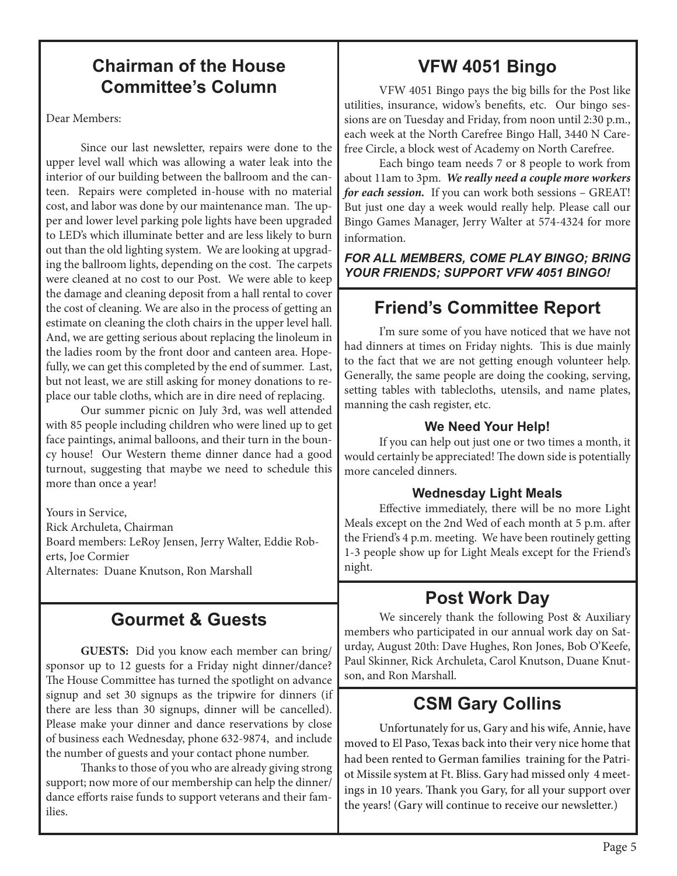#### **Chairman of the House Committee's Column**

Dear Members:

Since our last newsletter, repairs were done to the upper level wall which was allowing a water leak into the interior of our building between the ballroom and the canteen. Repairs were completed in-house with no material cost, and labor was done by our maintenance man. The upper and lower level parking pole lights have been upgraded to LED's which illuminate better and are less likely to burn out than the old lighting system. We are looking at upgrading the ballroom lights, depending on the cost. The carpets were cleaned at no cost to our Post. We were able to keep the damage and cleaning deposit from a hall rental to cover the cost of cleaning. We are also in the process of getting an estimate on cleaning the cloth chairs in the upper level hall. And, we are getting serious about replacing the linoleum in the ladies room by the front door and canteen area. Hopefully, we can get this completed by the end of summer. Last, but not least, we are still asking for money donations to replace our table cloths, which are in dire need of replacing.

Our summer picnic on July 3rd, was well attended with 85 people including children who were lined up to get face paintings, animal balloons, and their turn in the bouncy house! Our Western theme dinner dance had a good turnout, suggesting that maybe we need to schedule this more than once a year!

Yours in Service, Rick Archuleta, Chairman Board members: LeRoy Jensen, Jerry Walter, Eddie Roberts, Joe Cormier Alternates: Duane Knutson, Ron Marshall

#### **Gourmet & Guests**

**GUESTS:** Did you know each member can bring/ sponsor up to 12 guests for a Friday night dinner/dance? The House Committee has turned the spotlight on advance signup and set 30 signups as the tripwire for dinners (if there are less than 30 signups, dinner will be cancelled). Please make your dinner and dance reservations by close of business each Wednesday, phone 632-9874, and include the number of guests and your contact phone number.

Thanks to those of you who are already giving strong support; now more of our membership can help the dinner/ dance efforts raise funds to support veterans and their families.

## **VFW 4051 Bingo**

VFW 4051 Bingo pays the big bills for the Post like utilities, insurance, widow's benefits, etc. Our bingo sessions are on Tuesday and Friday, from noon until 2:30 p.m., each week at the North Carefree Bingo Hall, 3440 N Carefree Circle, a block west of Academy on North Carefree.

Each bingo team needs 7 or 8 people to work from about 11am to 3pm. *We really need a couple more workers for each session.* If you can work both sessions – GREAT! But just one day a week would really help. Please call our Bingo Games Manager, Jerry Walter at 574-4324 for more information.

*FOR ALL MEMBERS, COME PLAY BINGO; BRING YOUR FRIENDS; SUPPORT VFW 4051 BINGO!*

## **Friend's Committee Report**

I'm sure some of you have noticed that we have not had dinners at times on Friday nights. This is due mainly to the fact that we are not getting enough volunteer help. Generally, the same people are doing the cooking, serving, setting tables with tablecloths, utensils, and name plates, manning the cash register, etc.

#### **We Need Your Help!**

If you can help out just one or two times a month, it would certainly be appreciated! The down side is potentially more canceled dinners.

#### **Wednesday Light Meals**

Effective immediately, there will be no more Light Meals except on the 2nd Wed of each month at 5 p.m. after the Friend's 4 p.m. meeting. We have been routinely getting 1-3 people show up for Light Meals except for the Friend's night.

### **Post Work Day**

We sincerely thank the following Post & Auxiliary members who participated in our annual work day on Saturday, August 20th: Dave Hughes, Ron Jones, Bob O'Keefe, Paul Skinner, Rick Archuleta, Carol Knutson, Duane Knutson, and Ron Marshall.

#### **CSM Gary Collins**

Unfortunately for us, Gary and his wife, Annie, have moved to El Paso, Texas back into their very nice home that had been rented to German families training for the Patriot Missile system at Ft. Bliss. Gary had missed only 4 meetings in 10 years. Thank you Gary, for all your support over the years! (Gary will continue to receive our newsletter.)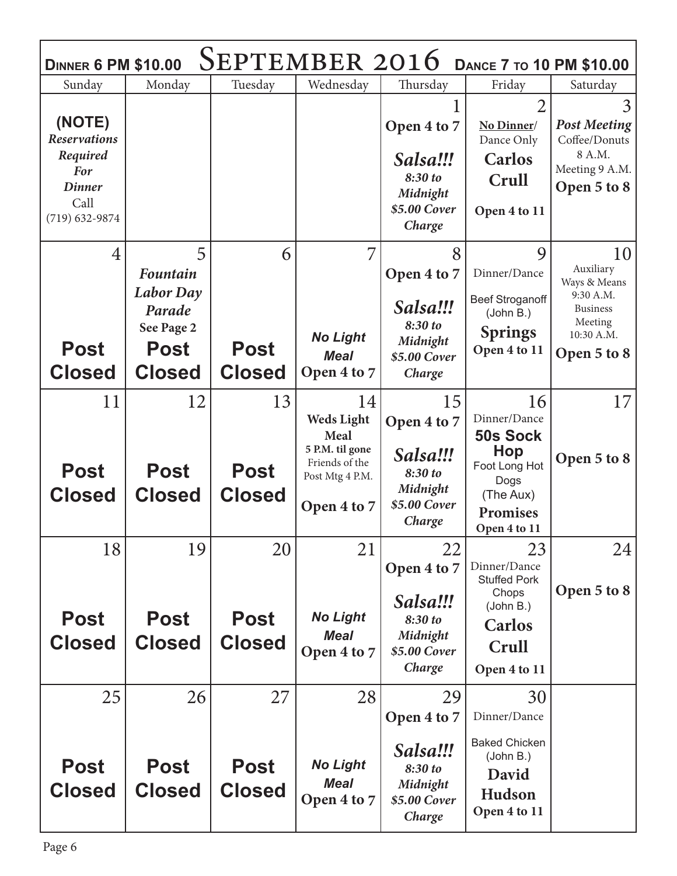| SEPTEMBER 2016<br><b>DANCE 7 TO 10 PM \$10.00</b><br><b>DINNER 6 PM \$10.00</b>                      |                                                                   |                              |                                                                                                  |                                                                          |                                                                                                                 |                                                                                      |  |  |  |  |
|------------------------------------------------------------------------------------------------------|-------------------------------------------------------------------|------------------------------|--------------------------------------------------------------------------------------------------|--------------------------------------------------------------------------|-----------------------------------------------------------------------------------------------------------------|--------------------------------------------------------------------------------------|--|--|--|--|
| Sunday                                                                                               | Monday                                                            | Tuesday                      | Wednesday                                                                                        | Thursday                                                                 | Friday                                                                                                          | Saturday                                                                             |  |  |  |  |
| (NOTE)<br><b>Reservations</b><br>Required<br><b>For</b><br><b>Dinner</b><br>Call<br>$(719)$ 632-9874 |                                                                   |                              |                                                                                                  | Open 4 to 7<br>Salsa!!!<br>8:30 to<br>Midnight<br>\$5.00 Cover<br>Charge | 2<br>No Dinner/<br>Dance Only<br><b>Carlos</b><br>Crull<br>Open 4 to 11                                         | 3<br><b>Post Meeting</b><br>Coffee/Donuts<br>8 A.M.<br>Meeting 9 A.M.<br>Open 5 to 8 |  |  |  |  |
| $\overline{4}$                                                                                       | 5                                                                 | 6                            | 7                                                                                                | 8                                                                        | 9                                                                                                               | 10                                                                                   |  |  |  |  |
|                                                                                                      | <b>Fountain</b>                                                   |                              |                                                                                                  | Open 4 to 7                                                              | Dinner/Dance                                                                                                    | Auxiliary<br>Ways & Means                                                            |  |  |  |  |
| <b>Post</b><br><b>Closed</b>                                                                         | <b>Labor</b> Day<br>Parade<br>See Page 2<br>Post<br><b>Closed</b> | <b>Post</b><br><b>Closed</b> | <b>No Light</b><br><b>Meal</b><br>Open 4 to 7                                                    | Salsa!!!<br>8:30 to<br>Midnight<br>\$5.00 Cover<br>Charge                | <b>Beef Stroganoff</b><br>(John B.)<br><b>Springs</b><br>Open 4 to 11                                           | 9:30 A.M.<br><b>Business</b><br>Meeting<br>10:30 A.M.<br>Open 5 to 8                 |  |  |  |  |
| 11                                                                                                   | 12                                                                | 13                           | 14                                                                                               | 15                                                                       | 16                                                                                                              | 17                                                                                   |  |  |  |  |
| <b>Post</b><br><b>Closed</b>                                                                         | <b>Post</b><br><b>Closed</b>                                      | <b>Post</b><br><b>Closed</b> | <b>Weds Light</b><br>Meal<br>5 P.M. til gone<br>Friends of the<br>Post Mtg 4 P.M.<br>Open 4 to 7 | Open 4 to 7<br>Salsa!!!<br>8:30 to<br>Midnight<br>\$5.00 Cover<br>Charge | Dinner/Dance<br><b>50s Sock</b><br>Hop<br>Foot Long Hot<br>Dogs<br>(The Aux)<br><b>Promises</b><br>Open 4 to 11 | Open 5 to 8                                                                          |  |  |  |  |
| 18                                                                                                   | 19                                                                | 20                           | 21                                                                                               | 22                                                                       | 23                                                                                                              | 24                                                                                   |  |  |  |  |
| <b>Post</b><br><b>Closed</b>                                                                         | Post<br><b>Closed</b>                                             | <b>Post</b><br><b>Closed</b> | <b>No Light</b><br><b>Meal</b><br>Open 4 to 7                                                    | Open 4 to 7<br>Salsa!!!<br>8:30 to<br>Midnight<br>\$5.00 Cover<br>Charge | Dinner/Dance<br><b>Stuffed Pork</b><br>Chops<br>(John B.)<br><b>Carlos</b><br>Crull<br>Open 4 to 11             | Open 5 to 8                                                                          |  |  |  |  |
| 25                                                                                                   | 26                                                                | 27                           | 28                                                                                               | 29                                                                       | 30                                                                                                              |                                                                                      |  |  |  |  |
| <b>Post</b><br><b>Closed</b>                                                                         | <b>Post</b><br><b>Closed</b>                                      | <b>Post</b><br><b>Closed</b> | <b>No Light</b><br><b>Meal</b><br>Open 4 to 7                                                    | Open 4 to 7<br>Salsa!!!<br>8:30 to<br>Midnight<br>\$5.00 Cover<br>Charge | Dinner/Dance<br><b>Baked Chicken</b><br>(John B.)<br>David<br>Hudson<br>Open 4 to 11                            |                                                                                      |  |  |  |  |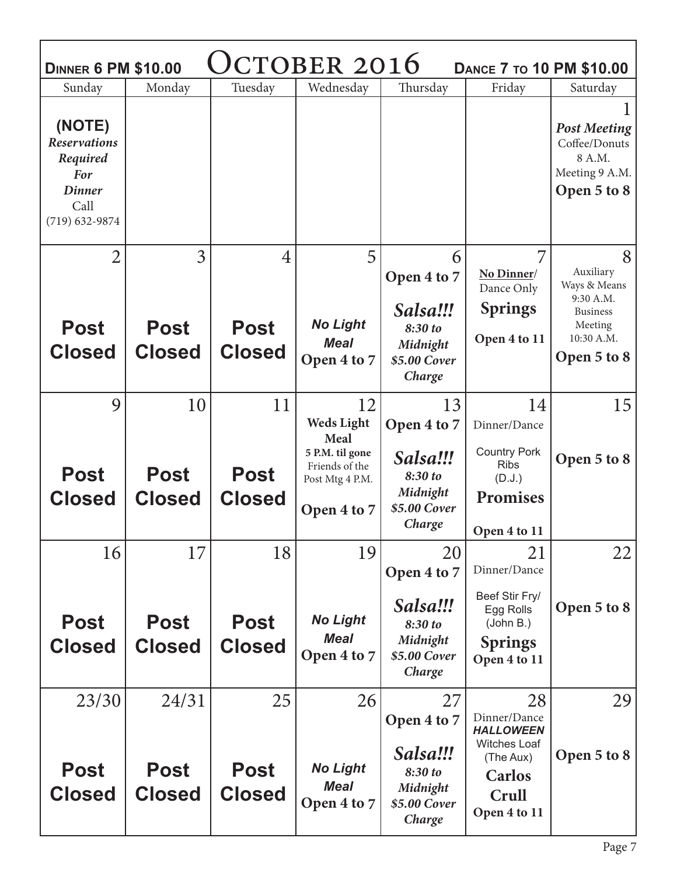| CTOBER 2016<br><b>DINNER 6 PM \$10.00</b><br><b>DANCE 7 TO 10 PM \$10.00</b>                    |                              |                              |                                                                     |                                                                          |                                                                                                         |                                                                                 |  |  |  |  |
|-------------------------------------------------------------------------------------------------|------------------------------|------------------------------|---------------------------------------------------------------------|--------------------------------------------------------------------------|---------------------------------------------------------------------------------------------------------|---------------------------------------------------------------------------------|--|--|--|--|
| Sunday                                                                                          | Monday                       | Tuesday                      | Wednesday                                                           | Thursday                                                                 | Friday                                                                                                  | Saturday                                                                        |  |  |  |  |
| (NOTE)<br><b>Reservations</b><br>Required<br>For<br><b>Dinner</b><br>Call<br>$(719) 632 - 9874$ |                              |                              |                                                                     |                                                                          |                                                                                                         | <b>Post Meeting</b><br>Coffee/Donuts<br>8 A.M.<br>Meeting 9 A.M.<br>Open 5 to 8 |  |  |  |  |
| $\overline{2}$                                                                                  | 3                            | 4                            | 5                                                                   | 6                                                                        | 7                                                                                                       | 8                                                                               |  |  |  |  |
|                                                                                                 |                              |                              |                                                                     | Open 4 to 7                                                              | No Dinner/<br>Dance Only                                                                                | Auxiliary<br>Ways & Means                                                       |  |  |  |  |
|                                                                                                 |                              |                              |                                                                     | Salsa!!!                                                                 | <b>Springs</b>                                                                                          | 9:30 A.M.<br><b>Business</b>                                                    |  |  |  |  |
| <b>Post</b>                                                                                     | <b>Post</b>                  | <b>Post</b>                  | <b>No Light</b>                                                     | 8:30 to                                                                  |                                                                                                         | Meeting<br>10:30 A.M.                                                           |  |  |  |  |
| <b>Closed</b>                                                                                   | <b>Closed</b>                | <b>Closed</b>                | <b>Meal</b><br>Open 4 to 7                                          | Midnight<br>\$5.00 Cover                                                 | Open 4 to 11                                                                                            | Open 5 to 8                                                                     |  |  |  |  |
|                                                                                                 |                              |                              |                                                                     | Charge                                                                   |                                                                                                         |                                                                                 |  |  |  |  |
| 9                                                                                               | 10                           | 11                           | 12                                                                  | 13                                                                       | 14                                                                                                      | 15                                                                              |  |  |  |  |
|                                                                                                 |                              |                              | <b>Weds Light</b><br>Meal                                           | Open 4 to 7                                                              | Dinner/Dance                                                                                            |                                                                                 |  |  |  |  |
| <b>Post</b><br><b>Closed</b>                                                                    | <b>Post</b><br><b>Closed</b> | <b>Post</b><br><b>Closed</b> | 5 P.M. til gone<br>Friends of the<br>Post Mtg 4 P.M.<br>Open 4 to 7 | Salsa!!!<br>8:30 to<br>Midnight<br>\$5.00 Cover<br>Charge                | <b>Country Pork</b><br><b>Ribs</b><br>(D.J.)<br><b>Promises</b>                                         | Open 5 to 8                                                                     |  |  |  |  |
|                                                                                                 |                              |                              |                                                                     |                                                                          | Open 4 to 11                                                                                            |                                                                                 |  |  |  |  |
| 16                                                                                              | 17                           | 18                           | 19                                                                  | 20<br>Open 4 to 7                                                        | 21<br>Dinner/Dance                                                                                      | 22                                                                              |  |  |  |  |
| <b>Post</b><br><b>Closed</b>                                                                    | <b>Post</b><br><b>Closed</b> | <b>Post</b><br><b>Closed</b> | <b>No Light</b><br><b>Meal</b><br>Open 4 to 7                       | Salsa!!!<br>8:30 to<br>Midnight<br>\$5.00 Cover<br>Charge                | Beef Stir Fry/<br>Egg Rolls<br>(John B.)<br><b>Springs</b><br>Open 4 to 11                              | Open 5 to 8                                                                     |  |  |  |  |
| 23/30                                                                                           | 24/31                        | 25                           | 26                                                                  | 27                                                                       | 28                                                                                                      | 29                                                                              |  |  |  |  |
| <b>Post</b><br><b>Closed</b>                                                                    | Post<br><b>Closed</b>        | <b>Post</b><br><b>Closed</b> | <b>No Light</b><br><b>Meal</b><br>Open 4 to 7                       | Open 4 to 7<br>Salsa!!!<br>8:30 to<br>Midnight<br>\$5.00 Cover<br>Charge | Dinner/Dance<br><b>HALLOWEEN</b><br><b>Witches Loaf</b><br>(The Aux)<br>Carlos<br>Crull<br>Open 4 to 11 | Open 5 to 8                                                                     |  |  |  |  |